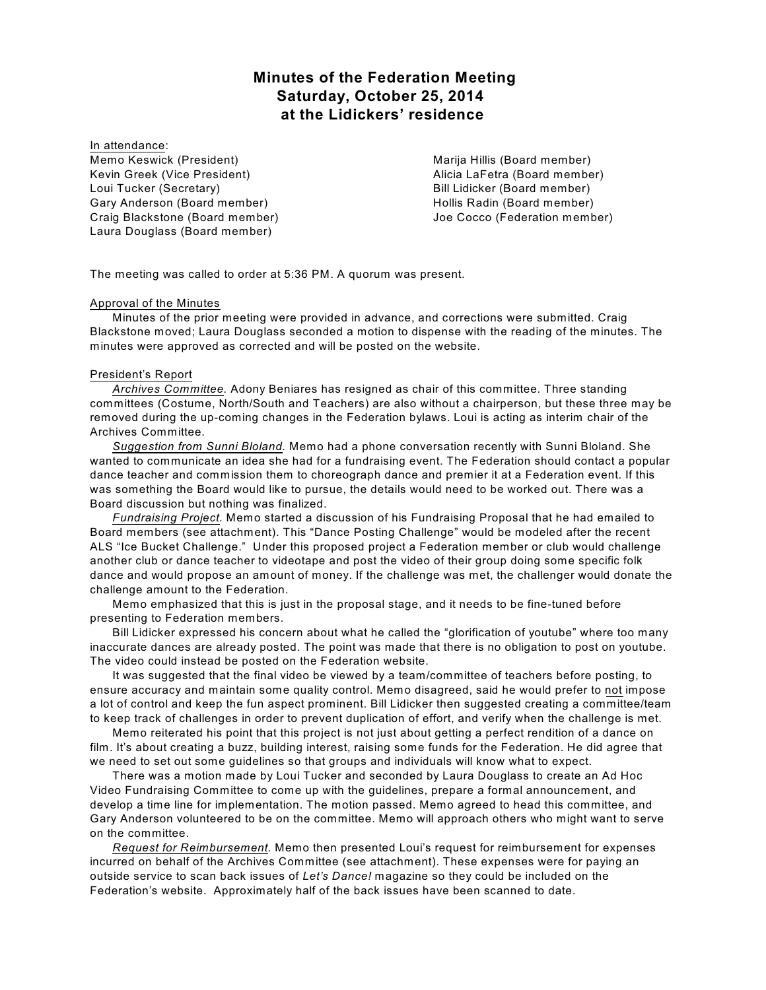# **Minutes of the Federation Meeting Saturday, October 25, 2014 at the Lidickers' residence**

In attendance: Memo Keswick (President) Kevin Greek (Vice President) Loui Tucker (Secretary) Gary Anderson (Board member) Craig Blackstone (Board member) Laura Douglass (Board member)

Marija Hillis (Board member) Alicia LaFetra (Board member) Bill Lidicker (Board member) Hollis Radin (Board member) Joe Cocco (Federation member)

The meeting was called to order at 5:36 PM. A quorum was present.

#### Approval of the Minutes

Minutes of the prior meeting were provided in advance, and corrections were submitted. Craig Blackstone moved; Laura Douglass seconded a motion to dispense with the reading of the minutes. The minutes were approved as corrected and will be posted on the website.

#### President's Report

*Archives Committee.* Adony Beniares has resigned as chair of this committee. Three standing committees (Costume, North/South and Teachers) are also without a chairperson, but these three may be removed during the up-coming changes in the Federation bylaws. Loui is acting as interim chair of the Archives Committee.

*Suggestion from Sunni Bloland.* Memo had a phone conversation recently with Sunni Bloland. She wanted to communicate an idea she had for a fundraising event. The Federation should contact a popular dance teacher and commission them to choreograph dance and premier it at a Federation event. If this was something the Board would like to pursue, the details would need to be worked out. There was a Board discussion but nothing was finalized.

*Fundraising Project.* Memo started a discussion of his Fundraising Proposal that he had emailed to Board members (see attachment). This "Dance Posting Challenge" would be modeled after the recent ALS "Ice Bucket Challenge." Under this proposed project a Federation member or club would challenge another club or dance teacher to videotape and post the video of their group doing some specific folk dance and would propose an amount of money. If the challenge was met, the challenger would donate the challenge amount to the Federation.

Memo emphasized that this is just in the proposal stage, and it needs to be fine-tuned before presenting to Federation members.

Bill Lidicker expressed his concern about what he called the "glorification of youtube" where too many inaccurate dances are already posted. The point was made that there is no obligation to post on youtube. The video could instead be posted on the Federation website.

It was suggested that the final video be viewed by a team/committee of teachers before posting, to ensure accuracy and maintain some quality control. Memo disagreed, said he would prefer to not impose a lot of control and keep the fun aspect prominent. Bill Lidicker then suggested creating a committee/team to keep track of challenges in order to prevent duplication of effort, and verify when the challenge is met.

Memo reiterated his point that this project is not just about getting a perfect rendition of a dance on film. It's about creating a buzz, building interest, raising some funds for the Federation. He did agree that we need to set out some guidelines so that groups and individuals will know what to expect.

There was a motion made by Loui Tucker and seconded by Laura Douglass to create an Ad Hoc Video Fundraising Committee to come up with the guidelines, prepare a formal announcement, and develop a time line for implementation. The motion passed. Memo agreed to head this committee, and Gary Anderson volunteered to be on the committee. Memo will approach others who might want to serve on the committee.

*Request for Reimbursement.* Memo then presented Loui's request for reimbursement for expenses incurred on behalf of the Archives Committee (see attachment). These expenses were for paying an outside service to scan back issues of *Let's Dance!* magazine so they could be included on the Federation's website. Approximately half of the back issues have been scanned to date.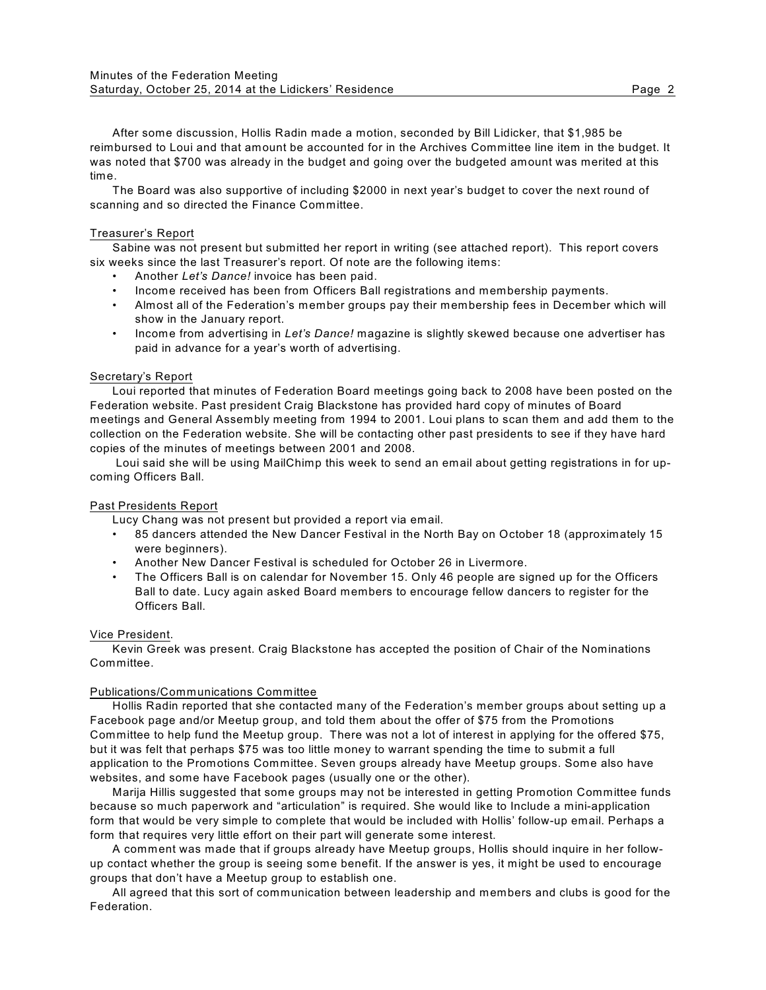After some discussion, Hollis Radin made a motion, seconded by Bill Lidicker, that \$1,985 be reimbursed to Loui and that amount be accounted for in the Archives Committee line item in the budget. It was noted that \$700 was already in the budget and going over the budgeted amount was merited at this time.

The Board was also supportive of including \$2000 in next year's budget to cover the next round of scanning and so directed the Finance Committee.

#### Treasurer's Report

Sabine was not present but submitted her report in writing (see attached report). This report covers six weeks since the last Treasurer's report. Of note are the following items:

- Another *Let's Dance!* invoice has been paid.
- Income received has been from Officers Ball registrations and membership payments.
- Almost all of the Federation's member groups pay their membership fees in December which will show in the January report.
- Income from advertising in *Let's Dance!* magazine is slightly skewed because one advertiser has paid in advance for a year's worth of advertising.

## Secretary's Report

Loui reported that minutes of Federation Board meetings going back to 2008 have been posted on the Federation website. Past president Craig Blackstone has provided hard copy of minutes of Board meetings and General Assembly meeting from 1994 to 2001. Loui plans to scan them and add them to the collection on the Federation website. She will be contacting other past presidents to see if they have hard copies of the minutes of meetings between 2001 and 2008.

Loui said she will be using MailChimp this week to send an email about getting registrations in for upcoming Officers Ball.

## Past Presidents Report

Lucy Chang was not present but provided a report via email.

- 85 dancers attended the New Dancer Festival in the North Bay on October 18 (approximately 15 were beginners).
- Another New Dancer Festival is scheduled for October 26 in Livermore.
- The Officers Ball is on calendar for November 15. Only 46 people are signed up for the Officers Ball to date. Lucy again asked Board members to encourage fellow dancers to register for the Officers Ball.

#### Vice President.

Kevin Greek was present. Craig Blackstone has accepted the position of Chair of the Nominations Committee.

#### Publications/Communications Committee

Hollis Radin reported that she contacted many of the Federation's member groups about setting up a Facebook page and/or Meetup group, and told them about the offer of \$75 from the Promotions Committee to help fund the Meetup group. There was not a lot of interest in applying for the offered \$75, but it was felt that perhaps \$75 was too little money to warrant spending the time to submit a full application to the Promotions Committee. Seven groups already have Meetup groups. Some also have websites, and some have Facebook pages (usually one or the other).

Marija Hillis suggested that some groups may not be interested in getting Promotion Committee funds because so much paperwork and "articulation" is required. She would like to Include a mini-application form that would be very simple to complete that would be included with Hollis' follow-up email. Perhaps a form that requires very little effort on their part will generate some interest.

A comment was made that if groups already have Meetup groups, Hollis should inquire in her followup contact whether the group is seeing some benefit. If the answer is yes, it might be used to encourage groups that don't have a Meetup group to establish one.

All agreed that this sort of communication between leadership and members and clubs is good for the Federation.